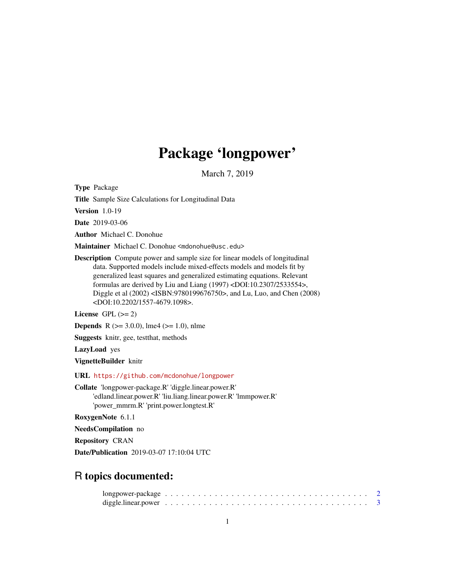# Package 'longpower'

March 7, 2019

Type Package

Title Sample Size Calculations for Longitudinal Data

Version 1.0-19

Date 2019-03-06

Author Michael C. Donohue

Maintainer Michael C. Donohue <mdonohue@usc.edu>

Description Compute power and sample size for linear models of longitudinal data. Supported models include mixed-effects models and models fit by generalized least squares and generalized estimating equations. Relevant formulas are derived by Liu and Liang (1997) <DOI:10.2307/2533554>, Diggle et al (2002) <ISBN:9780199676750>, and Lu, Luo, and Chen (2008) <DOI:10.2202/1557-4679.1098>.

License GPL  $(>= 2)$ 

**Depends** R ( $>= 3.0.0$ ), lme4 ( $>= 1.0$ ), nlme

Suggests knitr, gee, testthat, methods

LazyLoad yes

VignetteBuilder knitr

URL <https://github.com/mcdonohue/longpower>

Collate 'longpower-package.R' 'diggle.linear.power.R' 'edland.linear.power.R' 'liu.liang.linear.power.R' 'lmmpower.R' 'power\_mmrm.R' 'print.power.longtest.R'

RoxygenNote 6.1.1

NeedsCompilation no

Repository CRAN

Date/Publication 2019-03-07 17:10:04 UTC

# R topics documented: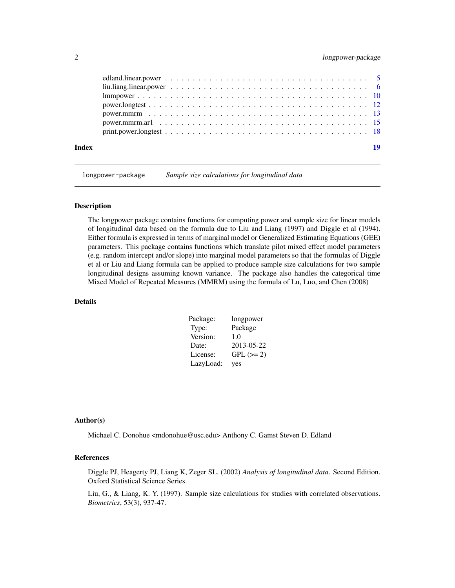<span id="page-1-0"></span>

| Index | 19 |
|-------|----|

longpower-package *Sample size calculations for longitudinal data*

## Description

The longpower package contains functions for computing power and sample size for linear models of longitudinal data based on the formula due to Liu and Liang (1997) and Diggle et al (1994). Either formula is expressed in terms of marginal model or Generalized Estimating Equations (GEE) parameters. This package contains functions which translate pilot mixed effect model parameters (e.g. random intercept and/or slope) into marginal model parameters so that the formulas of Diggle et al or Liu and Liang formula can be applied to produce sample size calculations for two sample longitudinal designs assuming known variance. The package also handles the categorical time Mixed Model of Repeated Measures (MMRM) using the formula of Lu, Luo, and Chen (2008)

# Details

| Package:  | longpower   |
|-----------|-------------|
| Type:     | Package     |
| Version:  | 1.0         |
| Date:     | 2013-05-22  |
| License:  | $GPL (= 2)$ |
| LazyLoad: | yes         |

## Author(s)

Michael C. Donohue <mdonohue@usc.edu> Anthony C. Gamst Steven D. Edland

# References

Diggle PJ, Heagerty PJ, Liang K, Zeger SL. (2002) *Analysis of longitudinal data*. Second Edition. Oxford Statistical Science Series.

Liu, G., & Liang, K. Y. (1997). Sample size calculations for studies with correlated observations. *Biometrics*, 53(3), 937-47.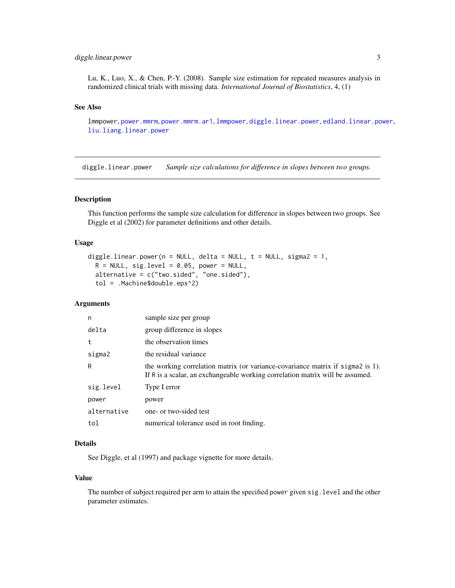# <span id="page-2-0"></span>diggle.linear.power 3

Lu, K., Luo, X., & Chen, P.-Y. (2008). Sample size estimation for repeated measures analysis in randomized clinical trials with missing data. *International Journal of Biostatistics*, 4, (1)

## See Also

lmmpower, [power.mmrm](#page-12-1), [power.mmrm.ar1](#page-14-1), [lmmpower](#page-9-1), [diggle.linear.power](#page-2-1), [edland.linear.power](#page-4-1), [liu.liang.linear.power](#page-5-1)

<span id="page-2-1"></span>diggle.linear.power *Sample size calculations for difference in slopes between two groups.*

## Description

This function performs the sample size calculation for difference in slopes between two groups. See Diggle et al (2002) for parameter definitions and other details.

## Usage

```
diggle.linear.power(n = NULL, delta = NULL, t = NULL, sigma2 = 1,
 R = NULL, sig.level = 0.05, power = NULL,
  alternative = c("two.sided", "one.sided"),
  tol = .Machine$double.eps^2)
```
## Arguments

| n           | sample size per group                                                                                                                                           |
|-------------|-----------------------------------------------------------------------------------------------------------------------------------------------------------------|
| delta       | group difference in slopes                                                                                                                                      |
| t           | the observation times                                                                                                                                           |
| sigma2      | the residual variance                                                                                                                                           |
| R           | the working correlation matrix (or variance-covariance matrix if sigma2 is 1).<br>If R is a scalar, an exchangeable working correlation matrix will be assumed. |
| sig.level   | Type I error                                                                                                                                                    |
| power       | power                                                                                                                                                           |
| alternative | one- or two-sided test                                                                                                                                          |
| tol         | numerical tolerance used in root finding.                                                                                                                       |

# Details

See Diggle, et al (1997) and package vignette for more details.

## Value

The number of subject required per arm to attain the specified power given sig.level and the other parameter estimates.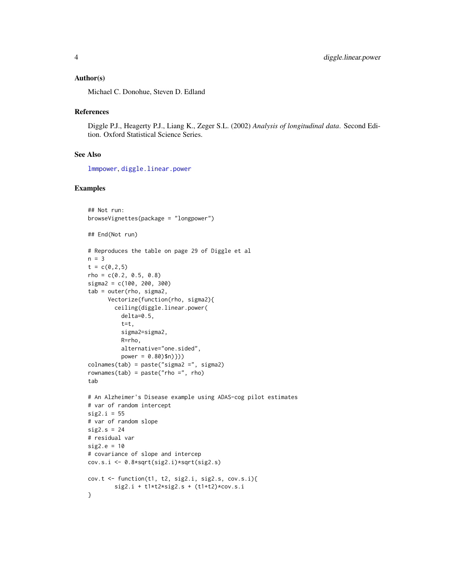## <span id="page-3-0"></span>Author(s)

Michael C. Donohue, Steven D. Edland

## References

Diggle P.J., Heagerty P.J., Liang K., Zeger S.L. (2002) *Analysis of longitudinal data*. Second Edition. Oxford Statistical Science Series.

# See Also

[lmmpower](#page-9-1), [diggle.linear.power](#page-2-1)

```
## Not run:
browseVignettes(package = "longpower")
## End(Not run)
# Reproduces the table on page 29 of Diggle et al
n = 3t = c(0, 2, 5)rho = c(0.2, 0.5, 0.8)sigma2 = c(100, 200, 300)
tab = outer(rho, sigma2,
      Vectorize(function(rho, sigma2){
        ceiling(diggle.linear.power(
          delta=0.5,
          t=t,
          sigma2=sigma2,
          R=rho,
          alternative="one.sided",
          power = 0.80)$n)}))
colnames(tab) = paste("sigma2 =", sigma2)
rownames(tab) = paste("rho =", rho)
tab
# An Alzheimer's Disease example using ADAS-cog pilot estimates
# var of random intercept
sig2.i = 55# var of random slope
sig2.s = 24# residual var
sig2.e = 10# covariance of slope and intercep
cov.s.i <- 0.8*sqrt(sig2.i)*sqrt(sig2.s)
cov.t \leftarrow function(t1, t2, sig2.i, sig2.s, cov.s.i)\left\{sig2.i + t1*t2*sig2.s + (t1+t2)*cov.s.i}
```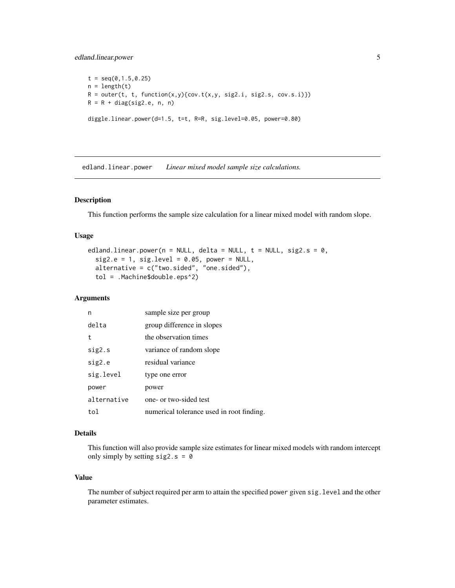# <span id="page-4-0"></span>edland.linear.power 5

 $t = \text{seq}(0, 1.5, 0.25)$  $n = length(t)$  $R = outer(t, t, function(x, y) {cov.t(x, y, sig2.i, sig2.s, cov.s.i)})$  $R = R + diag(sign2.e, n, n)$ 

diggle.linear.power(d=1.5, t=t, R=R, sig.level=0.05, power=0.80)

<span id="page-4-1"></span>edland.linear.power *Linear mixed model sample size calculations.*

# Description

This function performs the sample size calculation for a linear mixed model with random slope.

## Usage

```
edland.linear.power(n = NULL, delta = NULL, t = NULL, sig2.s = 0,
  sig2.e = 1, sig. level = 0.05, power = NULL,
  alternative = c("two.sided", "one.sided"),
  tol = .Machine$double.eps^2)
```
# Arguments

| n           | sample size per group                     |
|-------------|-------------------------------------------|
| delta       | group difference in slopes                |
| t           | the observation times                     |
| sig2.s      | variance of random slope                  |
| sig2.e      | residual variance                         |
| sig.level   | type one error                            |
| power       | power                                     |
| alternative | one- or two-sided test                    |
| tol         | numerical tolerance used in root finding. |

## Details

This function will also provide sample size estimates for linear mixed models with random intercept only simply by setting  $sig2.s = 0$ 

# Value

The number of subject required per arm to attain the specified power given sig.level and the other parameter estimates.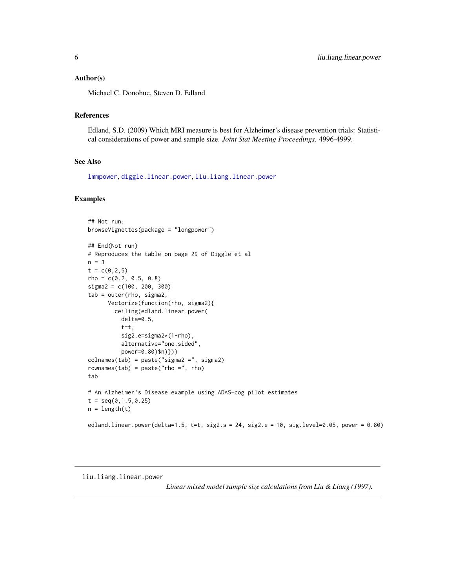## <span id="page-5-0"></span>Author(s)

Michael C. Donohue, Steven D. Edland

## References

Edland, S.D. (2009) Which MRI measure is best for Alzheimer's disease prevention trials: Statistical considerations of power and sample size. *Joint Stat Meeting Proceedings*. 4996-4999.

# See Also

[lmmpower](#page-9-1), [diggle.linear.power](#page-2-1), [liu.liang.linear.power](#page-5-1)

## Examples

```
## Not run:
browseVignettes(package = "longpower")
## End(Not run)
# Reproduces the table on page 29 of Diggle et al
n = 3t = c(0, 2, 5)rho = c(0.2, 0.5, 0.8)sigma2 = c(100, 200, 300)
tab = outer(rho, sigma2,
      Vectorize(function(rho, sigma2){
        ceiling(edland.linear.power(
          delta=0.5,
          t=t,
          sig2.e=sigma2*(1-rho),
          alternative="one.sided",
          power=0.80)$n)}))
colnames(tab) = paste("sigma2 =", sigma2)
rownames(tab) = paste("rho =", rho)
tab
# An Alzheimer's Disease example using ADAS-cog pilot estimates
t = seq(0, 1.5, 0.25)n = length(t)edland.linear.power(delta=1.5, t=t, sig2.s = 24, sig2.e = 10, sig.level=0.05, power = 0.80)
```
<span id="page-5-1"></span>liu.liang.linear.power

*Linear mixed model sample size calculations from Liu & Liang (1997).*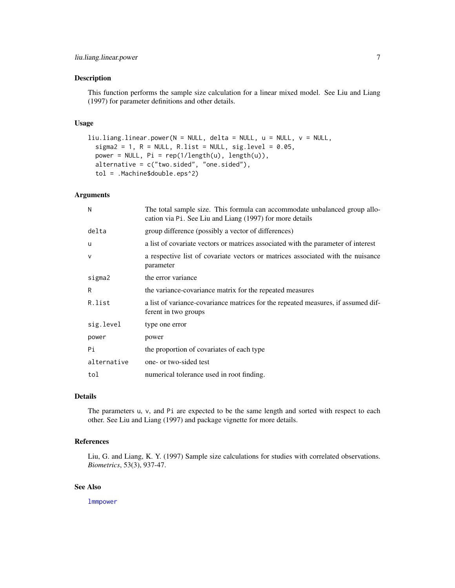## <span id="page-6-0"></span>Description

This function performs the sample size calculation for a linear mixed model. See Liu and Liang (1997) for parameter definitions and other details.

## Usage

```
liu.liang.linear.power(N = NULL, delta = NULL, u = NULL, v = NULL,
  sigma2 = 1, R = NULL, R.list = NULL, sig.level = 0.05,
 power = NULL, Pi = rep(1/length(u), length(u)),alternative = c("two.sided", "one.sided"),
  tol = .Machine$double.eps^2)
```
# Arguments

| N            | The total sample size. This formula can accommodate unbalanced group allo-<br>cation via P <sub>1</sub> . See Liu and Liang (1997) for more details |
|--------------|-----------------------------------------------------------------------------------------------------------------------------------------------------|
| delta        | group difference (possibly a vector of differences)                                                                                                 |
| u            | a list of covariate vectors or matrices associated with the parameter of interest                                                                   |
| $\mathsf{V}$ | a respective list of covariate vectors or matrices associated with the nuisance<br>parameter                                                        |
| sigma2       | the error variance                                                                                                                                  |
| R            | the variance-covariance matrix for the repeated measures                                                                                            |
| R.list       | a list of variance-covariance matrices for the repeated measures, if assumed dif-<br>ferent in two groups                                           |
| sig.level    | type one error                                                                                                                                      |
| power        | power                                                                                                                                               |
| Pi           | the proportion of covariates of each type                                                                                                           |
| alternative  | one- or two-sided test                                                                                                                              |
| tol          | numerical tolerance used in root finding.                                                                                                           |

# Details

The parameters u, v, and Pi are expected to be the same length and sorted with respect to each other. See Liu and Liang (1997) and package vignette for more details.

# References

Liu, G. and Liang, K. Y. (1997) Sample size calculations for studies with correlated observations. *Biometrics*, 53(3), 937-47.

# See Also

[lmmpower](#page-9-1)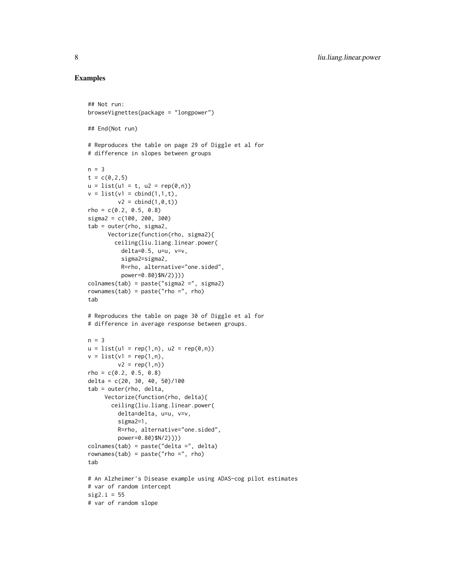```
## Not run:
browseVignettes(package = "longpower")
## End(Not run)
# Reproduces the table on page 29 of Diggle et al for
# difference in slopes between groups
n = 3t = c(0, 2, 5)u = list(u1 = t, u2 = rep(0, n))v = list(v1 = cbind(1,1,t)),v2 = \text{cbind}(1, 0, t)rho = c(0.2, 0.5, 0.8)sigma2 = c(100, 200, 300)
tab = outer(rho, sigma2,
      Vectorize(function(rho, sigma2){
        ceiling(liu.liang.linear.power(
          delta=0.5, u=u, v=v,
          sigma2=sigma2,
          R=rho, alternative="one.sided",
          power=0.80)$N/2)}))
colnames(tab) = paste("sigma2 =", sigma2)
rownames(tab) = paste("rho =", rho)
tab
# Reproduces the table on page 30 of Diggle et al for
# difference in average response between groups.
n = 3u = list(u1 = rep(1, n), u2 = rep(0, n))v = list(v1 = rep(1, n),v2 = rep(1, n)rho = c(0.2, 0.5, 0.8)delta = c(20, 30, 40, 50)/100tab = outer(rho, delta,
    Vectorize(function(rho, delta){
       ceiling(liu.liang.linear.power(
         delta=delta, u=u, v=v,
         sigma2=1,
         R=rho, alternative="one.sided",
         power=0.80)$N/2)}))
colnames(tab) = paste("delta =", delta)
rownames(tab) = paste("rho =", rho)
tab
# An Alzheimer's Disease example using ADAS-cog pilot estimates
# var of random intercept
sig2.i = 55# var of random slope
```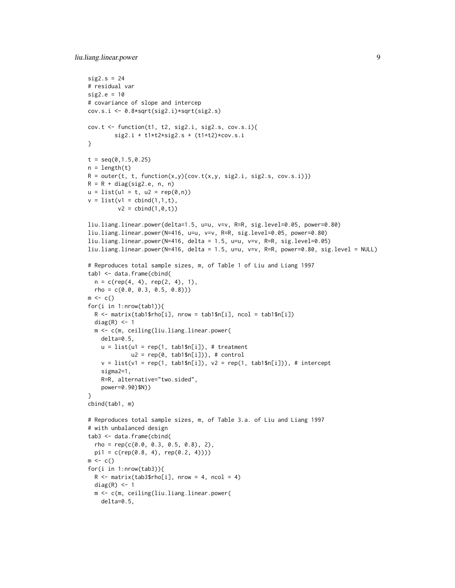```
sig2.s = 24# residual var
sig2.e = 10# covariance of slope and intercep
cov.s.i <- 0.8*sqrt(sig2.i)*sqrt(sig2.s)
cov.t <- function(t1, t2, sig2.i, sig2.s, cov.s.i){
        sig2.i + t1*t2*sig2.s + (t1+t2)*cov.s.i
}
t = seq(0, 1.5, 0.25)n = length(t)R = outer(t, t, function(x, y) {cov.t(x, y, sig2.i, sig2.s, cov.s.i)}R = R + diag(sign2.e, n, n)u = list(u1 = t, u2 = rep(0, n))v = list(v1 = cbind(1,1,t)),v2 = \text{cbind}(1, 0, t)liu.liang.linear.power(delta=1.5, u=u, v=v, R=R, sig.level=0.05, power=0.80)
liu.liang.linear.power(N=416, u=u, v=v, R=R, sig.level=0.05, power=0.80)
liu.liang.linear.power(N=416, delta = 1.5, u=u, v=v, R=R, sig.level=0.05)
liu.liang.linear.power(N=416, delta = 1.5, u=u, v=v, R=R, power=0.80, sig.level = NULL)
# Reproduces total sample sizes, m, of Table 1 of Liu and Liang 1997
tab1 <- data.frame(cbind(
  n = c(rep(4, 4), rep(2, 4), 1),rho = c(0.0, 0.3, 0.5, 0.8))m \leq -c()for(i in 1:nrow(tab1)){
  R <- matrix(tab1$rho[i], nrow = tab1$n[i], ncol = tab1$n[i])
  diag(R) <- 1
  m <- c(m, ceiling(liu.liang.linear.power(
   delta=0.5,
    u = list(u1 = rep(1, tab1$n[i]), # treatmentu2 = rep(0, tab1$n[i]), # controlv = list(v1 = rep(1, tab1$n[i]), v2 = rep(1, tab1$n[i]), # interceptsigma2=1,
    R=R, alternative="two.sided",
    power=0.90)$N))
}
cbind(tab1, m)
# Reproduces total sample sizes, m, of Table 3.a. of Liu and Liang 1997
# with unbalanced design
tab3 <- data.frame(cbind(
  rho = rep(c(0.0, 0.3, 0.5, 0.8), 2),pi1 = c(rep(0.8, 4), rep(0.2, 4))))m \leftarrow c()for(i in 1:nrow(tab3)){
  R \leq - matrix(tab3$rho[i], nrow = 4, ncol = 4)
  diag(R) <- 1
  m <- c(m, ceiling(liu.liang.linear.power(
   delta=0.5,
```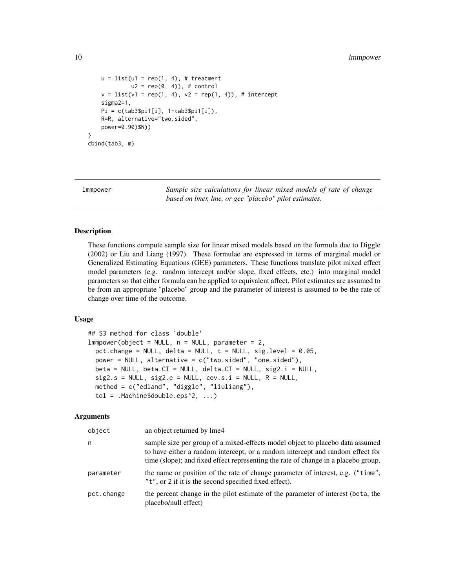## <span id="page-9-0"></span>10 **lmmpower**

```
u = list(u1 = rep(1, 4), # treatment)u2 = rep(0, 4), # control
   v = list(v1 = rep(1, 4), v2 = rep(1, 4)), # interceptsigma2=1,
   Pi = c(tab3$pi1[i], 1-tab3$pi1[i]),
   R=R, alternative="two.sided",
   power=0.90)$N))
}
cbind(tab3, m)
```
<span id="page-9-1"></span>

lmmpower *Sample size calculations for linear mixed models of rate of change based on lmer, lme, or gee "placebo" pilot estimates.*

## Description

These functions compute sample size for linear mixed models based on the formula due to Diggle (2002) or Liu and Liang (1997). These formulae are expressed in terms of marginal model or Generalized Estimating Equations (GEE) parameters. These functions translate pilot mixed effect model parameters (e.g. random intercept and/or slope, fixed effects, etc.) into marginal model parameters so that either formula can be applied to equivalent affect. Pilot estimates are assumed to be from an appropriate "placebo" group and the parameter of interest is assumed to be the rate of change over time of the outcome.

## Usage

```
## S3 method for class 'double'
lmmpower(object = NULL, n = NULL, parameter = 2,pct.change = NULL, delta = NULL, t = NULL, sig.level = 0.05,
  power = NULL, alternative = c("two.sided", "one.sided"),
  beta = NULL, beta.CI = NULL, delta.CI = NULL, delta.CI = NULL, size.i = NULL,
  sig2.s = NULL, sig2.e = NULL, cov.s.i = NULL, R = NULL,
  method = c("edland", "diggle", "liuliang"),
  tol = .Machine$double.eps^2, ...)
```
# Arguments

| object     | an object returned by lme4                                                                                                                                                                                                                            |
|------------|-------------------------------------------------------------------------------------------------------------------------------------------------------------------------------------------------------------------------------------------------------|
| n          | sample size per group of a mixed-effects model object to placebo data assumed<br>to have either a random intercept, or a random intercept and random effect for<br>time (slope); and fixed effect representing the rate of change in a placebo group. |
| parameter  | the name or position of the rate of change parameter of interest, e.g. ("time",<br>"t", or 2 if it is the second specified fixed effect).                                                                                                             |
| pct.change | the percent change in the pilot estimate of the parameter of interest (beta, the<br>placebo/null effect)                                                                                                                                              |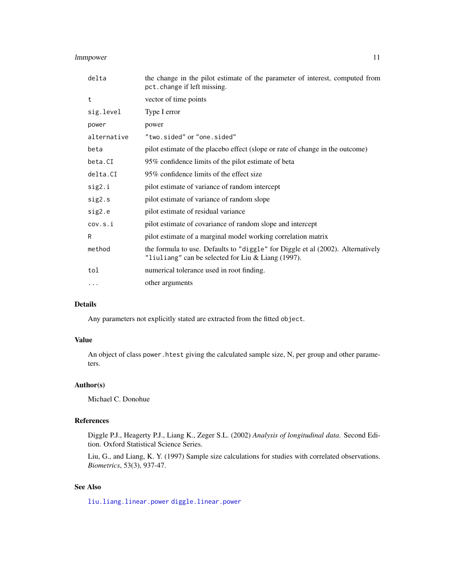# <span id="page-10-0"></span>lmmpower 11

| delta       | the change in the pilot estimate of the parameter of interest, computed from<br>pct.change if left missing.                              |
|-------------|------------------------------------------------------------------------------------------------------------------------------------------|
| t           | vector of time points                                                                                                                    |
| sig.level   | Type I error                                                                                                                             |
| power       | power                                                                                                                                    |
| alternative | "two.sided" or "one.sided"                                                                                                               |
| beta        | pilot estimate of the placebo effect (slope or rate of change in the outcome)                                                            |
| beta.CI     | 95% confidence limits of the pilot estimate of beta                                                                                      |
| delta.CI    | 95% confidence limits of the effect size                                                                                                 |
| sig2.i      | pilot estimate of variance of random intercept                                                                                           |
| sig2.s      | pilot estimate of variance of random slope                                                                                               |
| sig2.e      | pilot estimate of residual variance                                                                                                      |
| cov.s.i     | pilot estimate of covariance of random slope and intercept                                                                               |
| R           | pilot estimate of a marginal model working correlation matrix                                                                            |
| method      | the formula to use. Defaults to "diggle" for Diggle et al (2002). Alternatively<br>"liuliang" can be selected for Liu & Liang $(1997)$ . |
| tol         | numerical tolerance used in root finding.                                                                                                |
| $\cdots$    | other arguments                                                                                                                          |
|             |                                                                                                                                          |

## Details

Any parameters not explicitly stated are extracted from the fitted object.

# Value

An object of class power.htest giving the calculated sample size, N, per group and other parameters.

# Author(s)

Michael C. Donohue

# References

Diggle P.J., Heagerty P.J., Liang K., Zeger S.L. (2002) *Analysis of longitudinal data*. Second Edition. Oxford Statistical Science Series.

Liu, G., and Liang, K. Y. (1997) Sample size calculations for studies with correlated observations. *Biometrics*, 53(3), 937-47.

# See Also

[liu.liang.linear.power](#page-5-1) [diggle.linear.power](#page-2-1)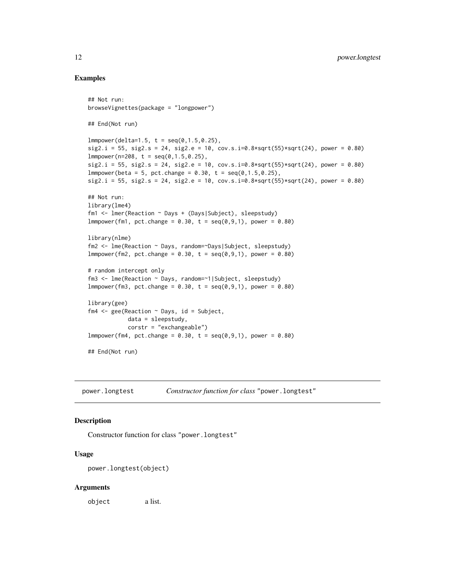## Examples

```
## Not run:
browseVignettes(package = "longpower")
## End(Not run)
lmmpower(delta=1.5, t = seq(0, 1.5, 0.25),sig2.i = 55, sig2.s = 24, sig2.e = 10, cov.s.i=0.8*sqrt(55)*sqrt(24), power = 0.80)
lmmpower(n=208, t = seq(0, 1.5, 0.25),
sig2.i = 55, sig2.s = 24, sig2.e = 10, cov.s.i=0.8*sqrt(55)*sqrt(24), power = 0.80)
lmmpower(beta = 5, pct.change = 0.30, t = seq(0, 1.5, 0.25),sig2.i = 55, sig2.s = 24, sig2.e = 10, cov.s.i=0.8*sqrt(55)*sqrt(24), power = 0.80)
## Not run:
library(lme4)
fm1 <- lmer(Reaction ~ Days + (Days|Subject), sleepstudy)
lmmpower(fm1, pct.change = 0.30, t = seq(0, 9, 1), power = 0.80)library(nlme)
fm2 <- lme(Reaction ~ Days, random=~Days|Subject, sleepstudy)
lmmpower(fm2, pct.change = 0.30, t = seq(0, 9, 1), power = 0.80)# random intercept only
fm3 <- lme(Reaction ~ Days, random=~1|Subject, sleepstudy)
lmmpower(fm3, pct.change = 0.30, t = seq(0, 9, 1), power = 0.80)library(gee)
fm4 \leq gee(Reaction \sim Days, id = Subject,
            data = sleepstudy,
            corstr = "exchangeable")
lmmpower(fm4, pct.change = 0.30, t = seq(0, 9, 1), power = 0.80)## End(Not run)
```
power.longtest *Constructor function for class* "power.longtest"

## Description

Constructor function for class "power.longtest"

## Usage

```
power.longtest(object)
```
#### Arguments

object a list.

<span id="page-11-0"></span>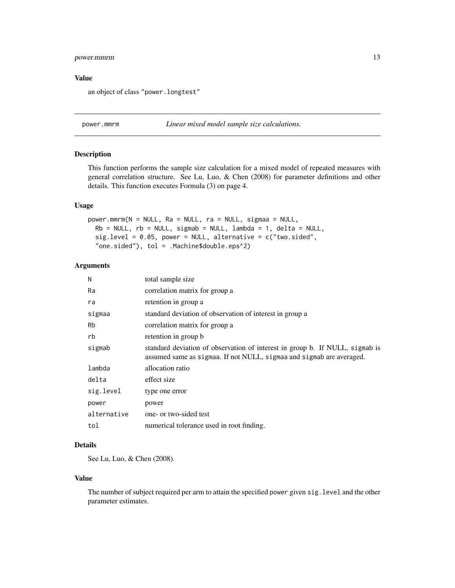# <span id="page-12-0"></span>power.mmrm 13

## Value

an object of class "power.longtest"

<span id="page-12-1"></span>power.mmrm *Linear mixed model sample size calculations.*

# Description

This function performs the sample size calculation for a mixed model of repeated measures with general correlation structure. See Lu, Luo, & Chen (2008) for parameter definitions and other details. This function executes Formula (3) on page 4.

## Usage

```
power.mmrm(N = NULL, Ra = NULL, ra = NULL, sigmaa = NULL,
 Rb = NULL, rb = NULL, sigmab = NULL, lambda = 1, delta = NULL,
  sig. level = 0.05, power = NULL, alternative = c("two.sided","one.sided"), tol = .Machine$double.eps^2)
```
# Arguments

| N           | total sample size                                                                                                                                    |
|-------------|------------------------------------------------------------------------------------------------------------------------------------------------------|
| Ra          | correlation matrix for group a                                                                                                                       |
| ra          | retention in group a                                                                                                                                 |
| sigmaa      | standard deviation of observation of interest in group a                                                                                             |
| <b>Rb</b>   | correlation matrix for group a                                                                                                                       |
| rb          | retention in group b                                                                                                                                 |
| sigmab      | standard deviation of observation of interest in group b. If NULL, sigmab is<br>assumed same as sigmaa. If not NULL, sigmaa and sigmab are averaged. |
| lambda      | allocation ratio                                                                                                                                     |
| delta       | effect size                                                                                                                                          |
| sig.level   | type one error                                                                                                                                       |
| power       | power                                                                                                                                                |
| alternative | one- or two-sided test                                                                                                                               |
| tol         | numerical tolerance used in root finding.                                                                                                            |

# Details

See Lu, Luo, & Chen (2008).

# Value

The number of subject required per arm to attain the specified power given sig.level and the other parameter estimates.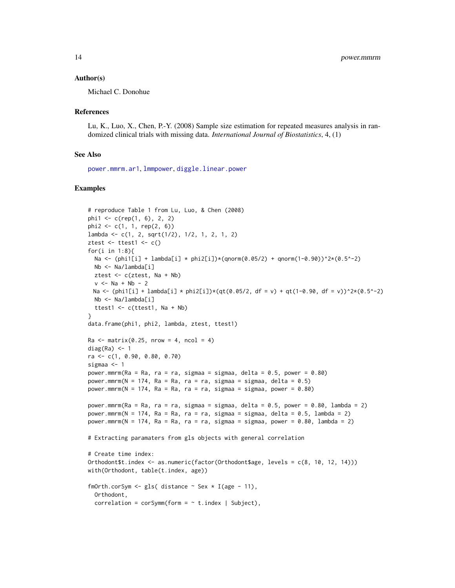## <span id="page-13-0"></span>Author(s)

Michael C. Donohue

## References

Lu, K., Luo, X., Chen, P.-Y. (2008) Sample size estimation for repeated measures analysis in randomized clinical trials with missing data. *International Journal of Biostatistics*, 4, (1)

## See Also

[power.mmrm.ar1](#page-14-1), [lmmpower](#page-9-1), [diggle.linear.power](#page-2-1)

```
# reproduce Table 1 from Lu, Luo, & Chen (2008)
phi1 <- c(rep(1, 6), 2, 2)
phi2 <- c(1, 1, rep(2, 6))
lambda <- c(1, 2, sqrt(1/2), 1/2, 1, 2, 1, 2)
ztest \le ttest1 \le c()
for(i in 1:8){
 Na <- (phi1[i] + lambda[i] * phi2[i])*(qnorm(0.05/2) + qnorm(1-0.90))^2*(0.5^-2)
 Nb <- Na/lambda[i]
 ztest <- c(ztest, Na + Nb)
  v < - Na + Nb - 2
 Na <- (phi1[i] + lambda[i] * phi2[i])*(qt(0.05/2, df = v) + qt(1-0.90, df = v))^2*(0.5^-2)
 Nb <- Na/lambda[i]
  ttest1 <- c(ttest1, Na + Nb)
}
data.frame(phi1, phi2, lambda, ztest, ttest1)
Ra \leq matrix(0.25, nrow = 4, ncol = 4)
diag(Ra) < -1ra <- c(1, 0.90, 0.80, 0.70)
sigmaa <- 1
power.mmrm(Ra = Ra, ra = ra, sigmaa = sigmaa, delta = 0.5, power = 0.80)
power.mmrm(N = 174, Ra = Ra, ra = ra, sigmaa = sigmaa, delta = 0.5)
power.mmrm(N = 174, Ra = Ra, ra = ra, sigmaa = sigmaa, power = 0.80)
power.mmrm(Ra = Ra, ra = ra, sigmaa = sigmaa, delta = 0.5, power = 0.80, lambda = 2)
power.mmrm(N = 174, Ra = Ra, ra = ra, sigmaa = sigmaa, delta = 0.5, lambda = 2)
power.mmrm(N = 174, Ra = Ra, ra = ra, sigmaa = sigmaa, power = 0.80, lambda = 2)
# Extracting paramaters from gls objects with general correlation
# Create time index:
Orthodont$t.index <- as.numeric(factor(Orthodont$age, levels = c(8, 10, 12, 14)))
with(Orthodont, table(t.index, age))
fmOrth.corSym <- gls( distance \sim Sex \star I(age - 11),
  Orthodont,
  correlation = corSymm(form = ~ t.index \mid Subject),
```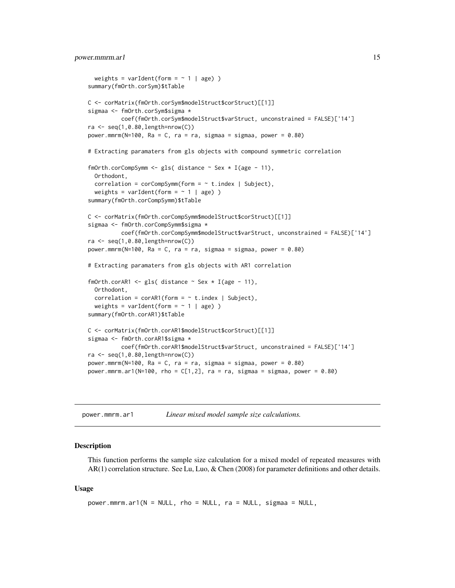## <span id="page-14-0"></span>power.mmrm.ar1 15

```
weights = varIdent(form = \sim 1 | age) )
summary(fmOrth.corSym)$tTable
C <- corMatrix(fmOrth.corSym$modelStruct$corStruct)[[1]]
sigmaa <- fmOrth.corSym$sigma *
          coef(fmOrth.corSym$modelStruct$varStruct, unconstrained = FALSE)['14']
ra <- seq(1,0.80,length=nrow(C))
power.mmrm(N=100, Ra = C, ra = ra, sigmaa = sigmaa, power = 0.80)
# Extracting paramaters from gls objects with compound symmetric correlation
fmOrth.corCompSymm <- gls( distance \sim Sex \star I(age - 11),
 Orthodont,
 correlation = corCompSymm (form = ~ t.index \mid Subject),weights = varIdent(form = \sim 1 | age) )
summary(fmOrth.corCompSymm)$tTable
C <- corMatrix(fmOrth.corCompSymm$modelStruct$corStruct)[[1]]
sigmaa <- fmOrth.corCompSymm$sigma *
          coef(fmOrth.corCompSymm$modelStruct$varStruct, unconstrained = FALSE)['14']
ra \leq seq(1,0.80, length=nrow(C))
power.mmrm(N=100, Ra = C, ra = ra, sigmaa = sigmaa, power = 0.80)
# Extracting paramaters from gls objects with AR1 correlation
fmOrth.corAR1 <- gls( distance ~ Sex * I(age - 11),
 Orthodont,
 correlation = corAR1(form = ~ t.index \mid Subject),weights = varIdent(form = \sim 1 | age) )
summary(fmOrth.corAR1)$tTable
C <- corMatrix(fmOrth.corAR1$modelStruct$corStruct)[[1]]
sigmaa <- fmOrth.corAR1$sigma *
          coef(fmOrth.corAR1$modelStruct$varStruct, unconstrained = FALSE)['14']
ra \leq seq(1,0.80, length=nrow(C))
power.mmrm(N=100, Ra = C, ra = ra, sigmaa = sigmaa, power = 0.80)
power.mmrm.ar1(N=100, rho = C[1,2], ra = ra, sigmaa = sigmaa, power = 0.80)
```
<span id="page-14-1"></span>

| power.mmrm.ar1 |  | Linear mixed model sample size calculations. |
|----------------|--|----------------------------------------------|
|----------------|--|----------------------------------------------|

## Description

This function performs the sample size calculation for a mixed model of repeated measures with AR(1) correlation structure. See Lu, Luo, & Chen (2008) for parameter definitions and other details.

## Usage

```
power.mmrm.ar1(N = NULL, rho = NULL, ra = NULL, sigmaa = NULL,
```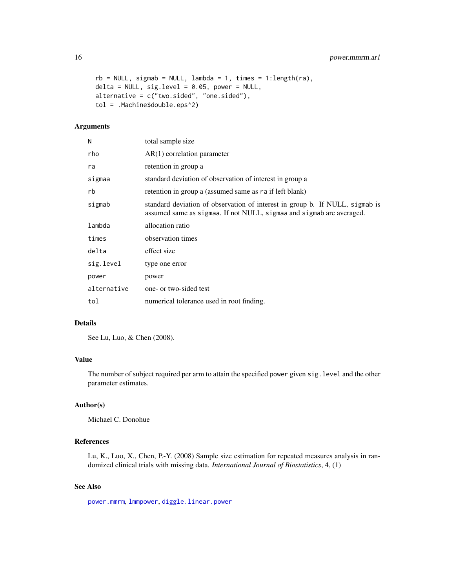<span id="page-15-0"></span>16 power.mmrm.ar1

```
rb = NULL, sigmab = NULL, lambda = 1, times = 1:length(ra),
delta = NULL, sig. level = 0.05, power = NULL,alternative = c("two.sided", "one.sided"),
tol = .Machine$double.eps^2)
```
# Arguments

| N           | total sample size                                                                                                                                    |
|-------------|------------------------------------------------------------------------------------------------------------------------------------------------------|
| rho         | $AR(1)$ correlation parameter                                                                                                                        |
| ra          | retention in group a                                                                                                                                 |
| sigmaa      | standard deviation of observation of interest in group a                                                                                             |
| rb          | retention in group a (assumed same as raif left blank)                                                                                               |
| sigmab      | standard deviation of observation of interest in group b. If NULL, sigmab is<br>assumed same as sigmaa. If not NULL, sigmaa and sigmab are averaged. |
| lambda      | allocation ratio                                                                                                                                     |
| times       | observation times                                                                                                                                    |
| delta       | effect size                                                                                                                                          |
| sig.level   | type one error                                                                                                                                       |
| power       | power                                                                                                                                                |
| alternative | one- or two-sided test                                                                                                                               |
| tol         | numerical tolerance used in root finding.                                                                                                            |

# Details

See Lu, Luo, & Chen (2008).

# Value

The number of subject required per arm to attain the specified power given sig.level and the other parameter estimates.

# Author(s)

Michael C. Donohue

# References

Lu, K., Luo, X., Chen, P.-Y. (2008) Sample size estimation for repeated measures analysis in randomized clinical trials with missing data. *International Journal of Biostatistics*, 4, (1)

# See Also

[power.mmrm](#page-12-1), [lmmpower](#page-9-1), [diggle.linear.power](#page-2-1)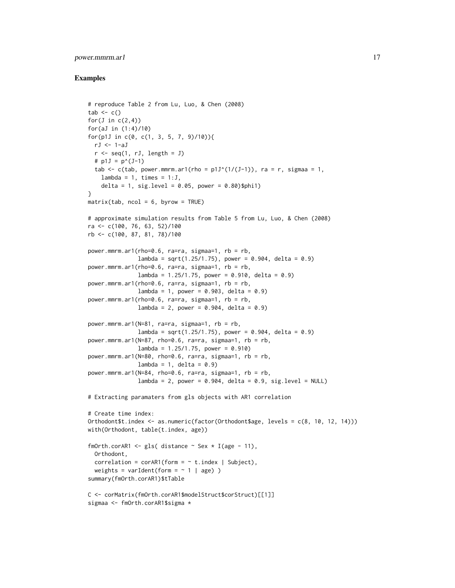# power.mmrm.ar1 17

```
# reproduce Table 2 from Lu, Luo, & Chen (2008)
tab < - c()for(J in c(2,4))
for(aJ in (1:4)/10)
for(p1J in c(0, c(1, 3, 5, 7, 9)/10)){
  rJ <- 1-aJ
  r \leq -\text{seq}(1, rJ, \text{length} = J)# p1J = p^{(J-1)}tab \leq c(tab, power.mmrm.ar1(rho = p1J^(1/(J-1)), ra = r, sigmaa = 1,
    lambda = 1, times = 1:J,
    delta = 1, sig.level = 0.05, power = 0.80)$phi1)
}
matrix(tab, ncol = 6, byrow = TRUE)# approximate simulation results from Table 5 from Lu, Luo, & Chen (2008)
ra <- c(100, 76, 63, 52)/100
rb <- c(100, 87, 81, 78)/100
power.mmrm.ar1(rho=0.6, ra=ra, sigmaa=1, rb = rb,
               lambda = sqrt(1.25/1.75), power = 0.904, delta = 0.9)
power.mmrm.ar1(rho=0.6, ra=ra, sigmaa=1, rb = rb,
               lambda = 1.25/1.75, power = 0.910, delta = 0.9)
power.mmrm.ar1(rho=0.6, ra=ra, sigmaa=1, rb = rb,
               lambda = 1, power = 0.903, delta = 0.9)
power.mmrm.ar1(rho=0.6, ra=ra, sigmaa=1, rb = rb,
               lambda = 2, power = 0.904, delta = 0.9)
power.mmrm.ar1(N=81, ra=ra, sigmaa=1, rb = rb,
               lambda = sqrt(1.25/1.75), power = 0.904, delta = 0.9)
power.mmrm.ar1(N=87, rho=0.6, ra=ra, sigmaa=1, rb = rb,
               lambda = 1.25/1.75, power = 0.910)
power.mmrm.ar1(N=80, rho=0.6, ra=ra, sigmaa=1, rb = rb,
               lambda = 1, delta = 0.9)
power.mmrm.ar1(N=84, rho=0.6, ra=ra, sigmaa=1, rb = rb,
               lambda = 2, power = 0.904, delta = 0.9, sig.level = NULL)
# Extracting paramaters from gls objects with AR1 correlation
# Create time index:
Orthodont$t.index <- as.numeric(factor(Orthodont$age, levels = c(8, 10, 12, 14)))
with(Orthodont, table(t.index, age))
fmOrth.corAR1 <- gls( distance \sim Sex \star I(age - 11),
  Orthodont,
  correlation = corAR1(form = ~ t.index | Subject),weights = varIdent(form = \sim 1 | age) )
summary(fmOrth.corAR1)$tTable
C <- corMatrix(fmOrth.corAR1$modelStruct$corStruct)[[1]]
sigmaa <- fmOrth.corAR1$sigma *
```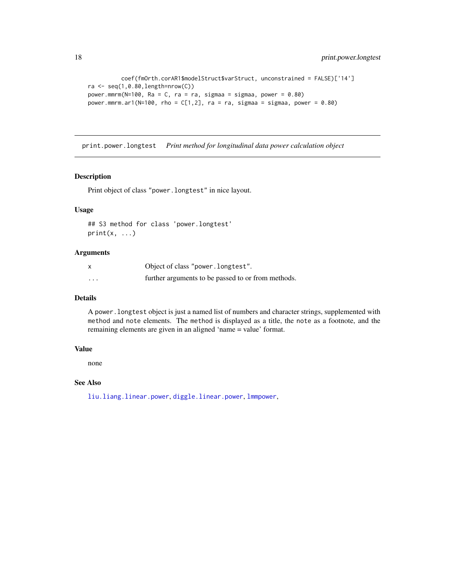```
coef(fmOrth.corAR1$modelStruct$varStruct, unconstrained = FALSE)['14']
ra \leq seq(1,0.80, length=nrow(C))
power.mmrm(N=100, Ra = C, ra = ra, sigmaa = sigmaa, power = 0.80)
power.mmrm.ar1(N=100, rho = C[1,2], ra = ra, sigmaa = sigmaa, power = 0.80)
```
print.power.longtest *Print method for longitudinal data power calculation object*

# Description

Print object of class "power.longtest" in nice layout.

# Usage

```
## S3 method for class 'power.longtest'
print(x, \ldots)
```
# Arguments

|         | Object of class "power.longtest".                  |
|---------|----------------------------------------------------|
| $\cdot$ | further arguments to be passed to or from methods. |

# Details

A power.longtest object is just a named list of numbers and character strings, supplemented with method and note elements. The method is displayed as a title, the note as a footnote, and the remaining elements are given in an aligned 'name = value' format.

## Value

none

# See Also

[liu.liang.linear.power](#page-5-1), [diggle.linear.power](#page-2-1), [lmmpower](#page-9-1),

<span id="page-17-0"></span>